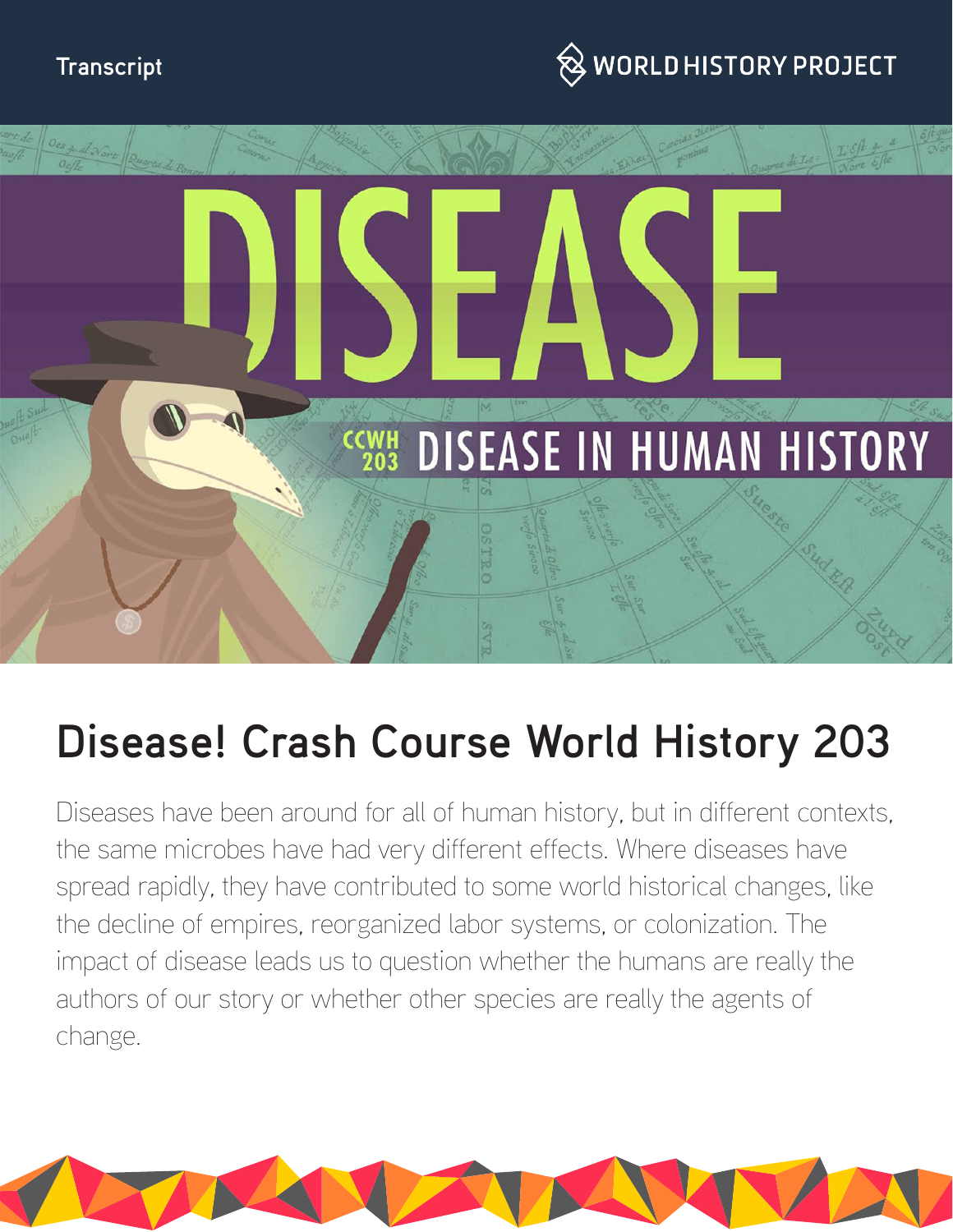### **Transcript**





# **Disease! Crash Course World History 203**

Diseases have been around for all of human history, but in different contexts, the same microbes have had very different effects. Where diseases have spread rapidly, they have contributed to some world historical changes, like the decline of empires, reorganized labor systems, or colonization. The impact of disease leads us to question whether the humans are really the authors of our story or whether other species are really the agents of change.

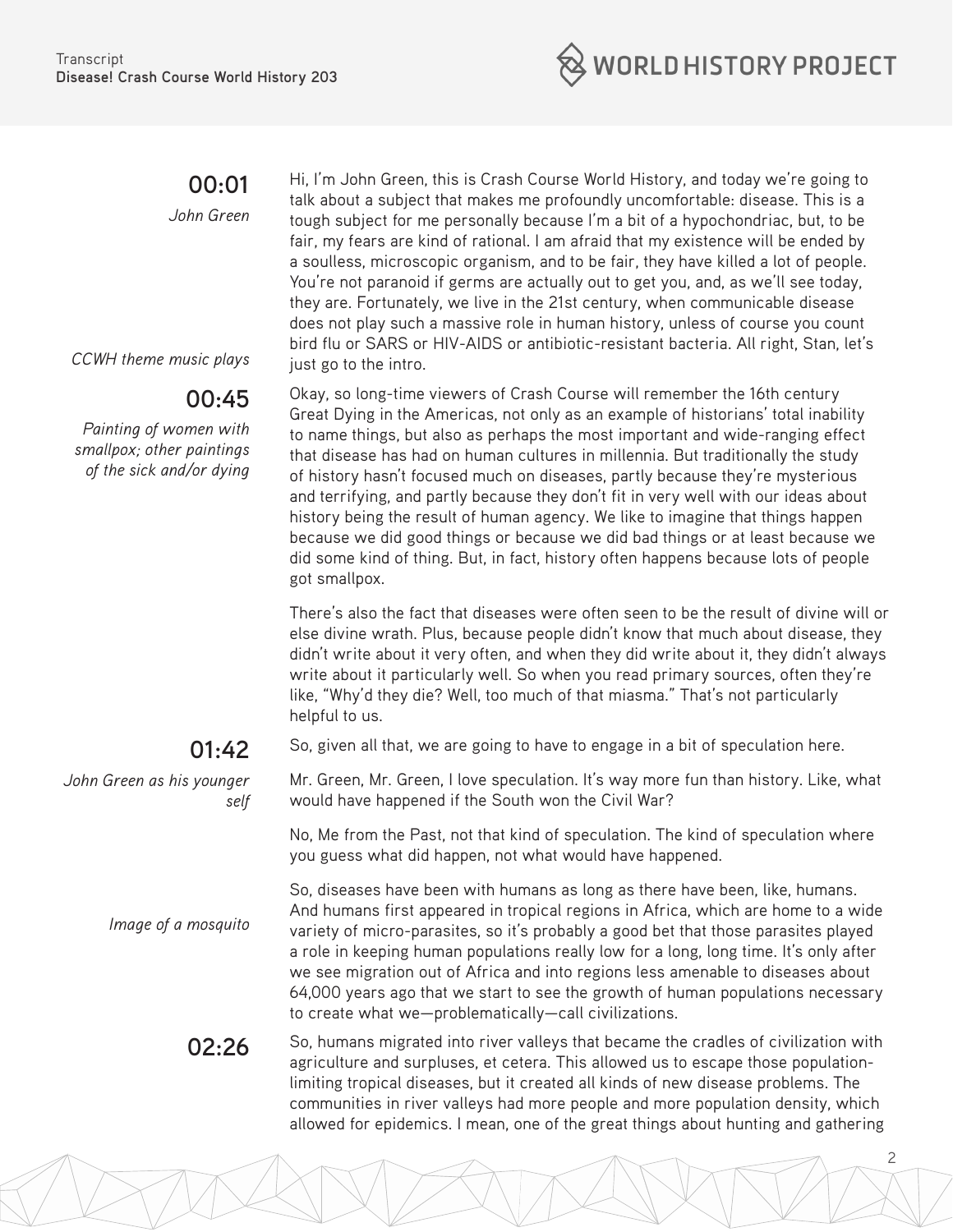

## **00:01**

*John Green*

*CCWH theme music plays*

## **00:45**

*Painting of women with smallpox; other paintings of the sick and/or dying*

### **01:42**

*John Green as his younger self*

*Image of a mosquito*

Hi, I'm John Green, this is Crash Course World History, and today we're going to talk about a subject that makes me profoundly uncomfortable: disease. This is a tough subject for me personally because I'm a bit of a hypochondriac, but, to be fair, my fears are kind of rational. I am afraid that my existence will be ended by a soulless, microscopic organism, and to be fair, they have killed a lot of people. You're not paranoid if germs are actually out to get you, and, as we'll see today, they are. Fortunately, we live in the 21st century, when communicable disease does not play such a massive role in human history, unless of course you count bird flu or SARS or HIV-AIDS or antibiotic-resistant bacteria. All right, Stan, let's just go to the intro.

Okay, so long-time viewers of Crash Course will remember the 16th century Great Dying in the Americas, not only as an example of historians' total inability to name things, but also as perhaps the most important and wide-ranging effect that disease has had on human cultures in millennia. But traditionally the study of history hasn't focused much on diseases, partly because they're mysterious and terrifying, and partly because they don't fit in very well with our ideas about history being the result of human agency. We like to imagine that things happen because we did good things or because we did bad things or at least because we did some kind of thing. But, in fact, history often happens because lots of people got smallpox.

There's also the fact that diseases were often seen to be the result of divine will or else divine wrath. Plus, because people didn't know that much about disease, they didn't write about it very often, and when they did write about it, they didn't always write about it particularly well. So when you read primary sources, often they're like, "Why'd they die? Well, too much of that miasma." That's not particularly helpful to us.

So, given all that, we are going to have to engage in a bit of speculation here.

Mr. Green, Mr. Green, I love speculation. It's way more fun than history. Like, what would have happened if the South won the Civil War?

No, Me from the Past, not that kind of speculation. The kind of speculation where you guess what did happen, not what would have happened.

So, diseases have been with humans as long as there have been, like, humans. And humans first appeared in tropical regions in Africa, which are home to a wide variety of micro-parasites, so it's probably a good bet that those parasites played a role in keeping human populations really low for a long, long time. It's only after we see migration out of Africa and into regions less amenable to diseases about 64,000 years ago that we start to see the growth of human populations necessary to create what we—problematically—call civilizations.

2

**02:26** So, humans migrated into river valleys that became the cradles of civilization with agriculture and surpluses, et cetera. This allowed us to escape those populationlimiting tropical diseases, but it created all kinds of new disease problems. The communities in river valleys had more people and more population density, which allowed for epidemics. I mean, one of the great things about hunting and gathering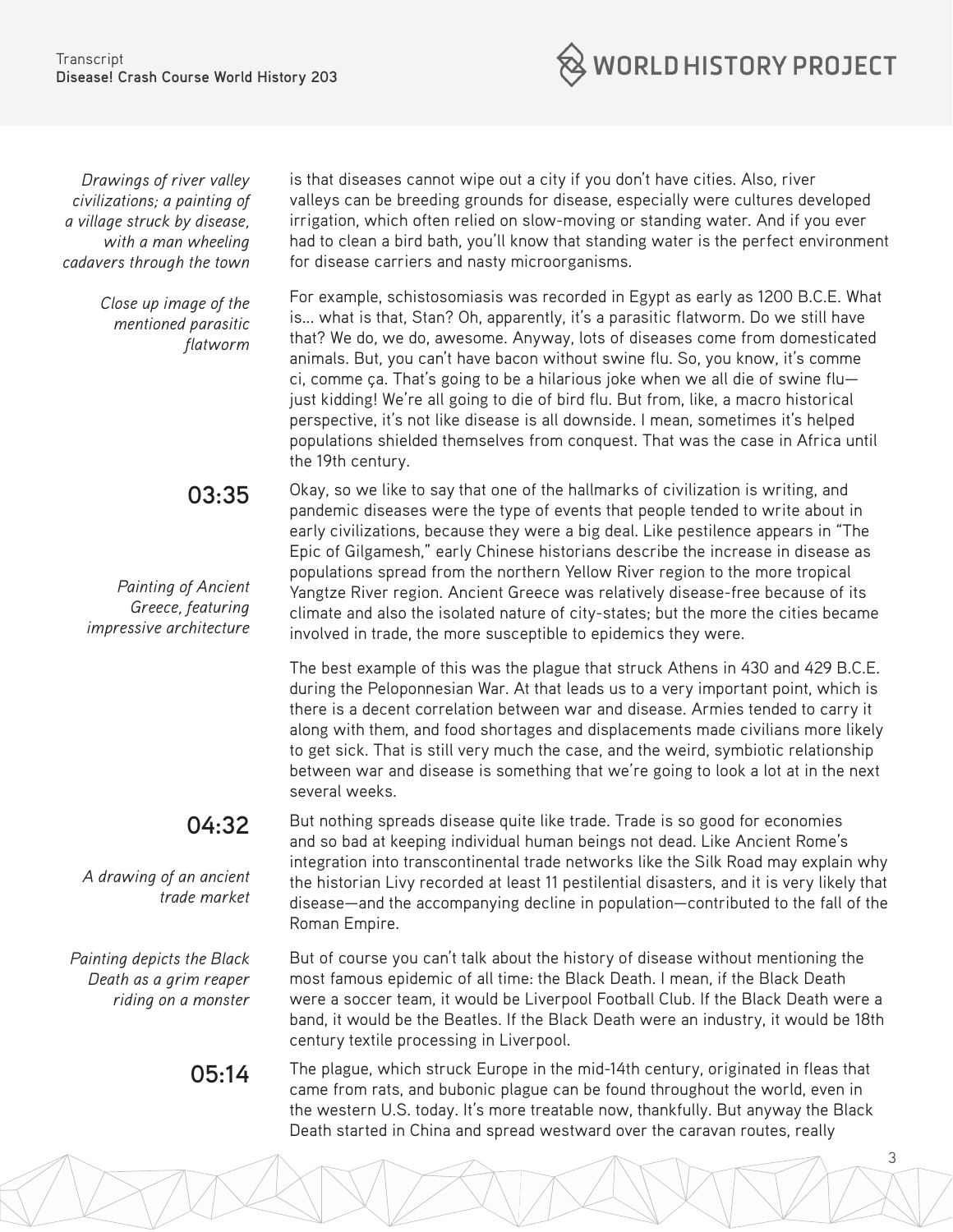**WORLD HISTORY PROJECT** 

*Drawings of river valley civilizations; a painting of a village struck by disease, with a man wheeling cadavers through the town*

> *Close up image of the mentioned parasitic flatworm*

> > **03:35**

*Painting of Ancient Greece, featuring impressive architecture*

### **04:32**

*A drawing of an ancient trade market*

*Painting depicts the Black Death as a grim reaper riding on a monster*

is that diseases cannot wipe out a city if you don't have cities. Also, river valleys can be breeding grounds for disease, especially were cultures developed irrigation, which often relied on slow-moving or standing water. And if you ever had to clean a bird bath, you'll know that standing water is the perfect environment for disease carriers and nasty microorganisms.

For example, schistosomiasis was recorded in Egypt as early as 1200 B.C.E. What is... what is that, Stan? Oh, apparently, it's a parasitic flatworm. Do we still have that? We do, we do, awesome. Anyway, lots of diseases come from domesticated animals. But, you can't have bacon without swine flu. So, you know, it's comme ci, comme ça. That's going to be a hilarious joke when we all die of swine flu just kidding! We're all going to die of bird flu. But from, like, a macro historical perspective, it's not like disease is all downside. I mean, sometimes it's helped populations shielded themselves from conquest. That was the case in Africa until the 19th century.

Okay, so we like to say that one of the hallmarks of civilization is writing, and pandemic diseases were the type of events that people tended to write about in early civilizations, because they were a big deal. Like pestilence appears in "The Epic of Gilgamesh," early Chinese historians describe the increase in disease as populations spread from the northern Yellow River region to the more tropical Yangtze River region. Ancient Greece was relatively disease-free because of its climate and also the isolated nature of city-states; but the more the cities became involved in trade, the more susceptible to epidemics they were.

The best example of this was the plague that struck Athens in 430 and 429 B.C.E. during the Peloponnesian War. At that leads us to a very important point, which is there is a decent correlation between war and disease. Armies tended to carry it along with them, and food shortages and displacements made civilians more likely to get sick. That is still very much the case, and the weird, symbiotic relationship between war and disease is something that we're going to look a lot at in the next several weeks.

But nothing spreads disease quite like trade. Trade is so good for economies and so bad at keeping individual human beings not dead. Like Ancient Rome's integration into transcontinental trade networks like the Silk Road may explain why the historian Livy recorded at least 11 pestilential disasters, and it is very likely that disease—and the accompanying decline in population—contributed to the fall of the Roman Empire.

But of course you can't talk about the history of disease without mentioning the most famous epidemic of all time: the Black Death. I mean, if the Black Death were a soccer team, it would be Liverpool Football Club. If the Black Death were a band, it would be the Beatles. If the Black Death were an industry, it would be 18th century textile processing in Liverpool.

**05:14** The plague, which struck Europe in the mid-14th century, originated in fleas that came from rats, and bubonic plague can be found throughout the world, even in the western U.S. today. It's more treatable now, thankfully. But anyway the Black Death started in China and spread westward over the caravan routes, really

3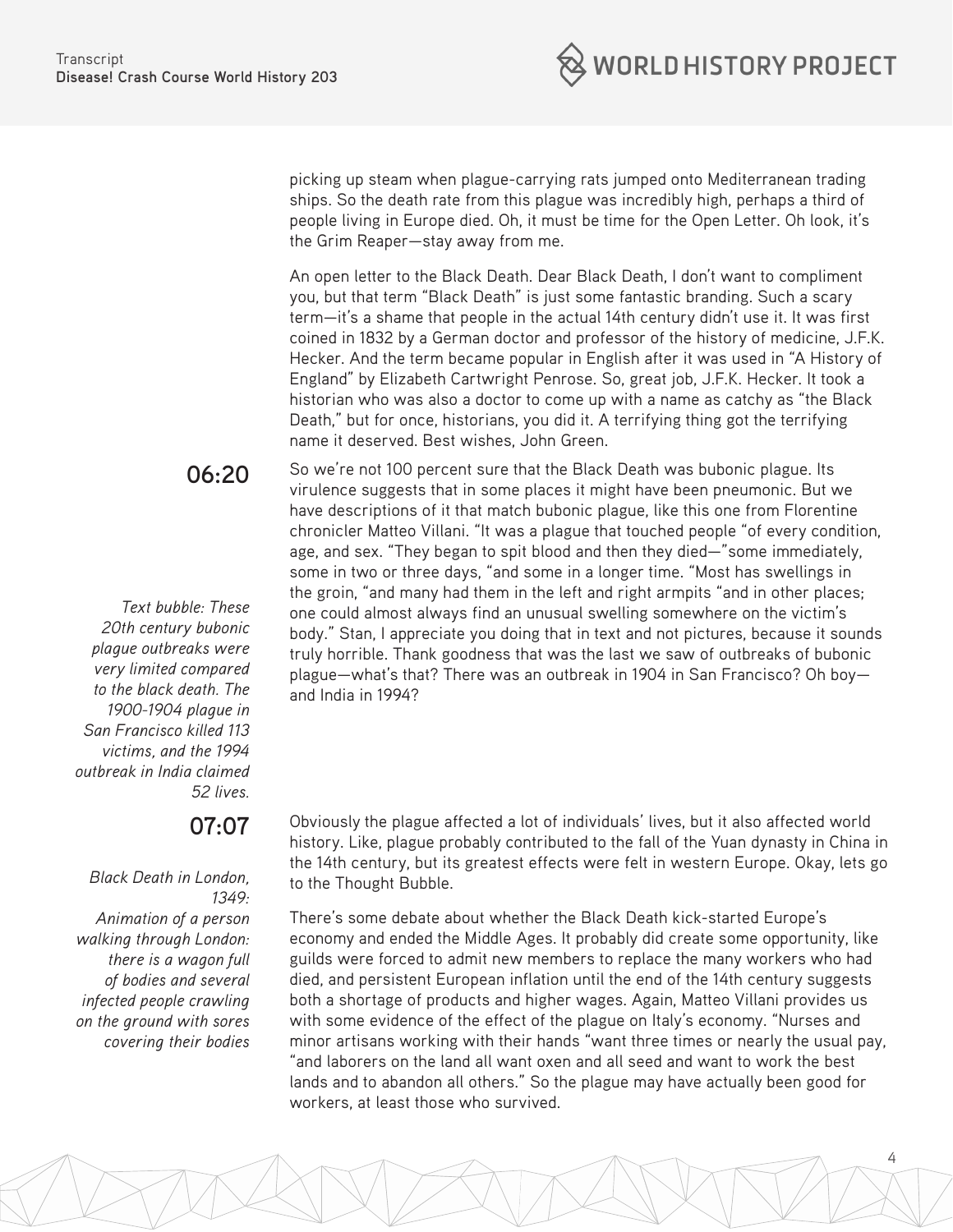

picking up steam when plague-carrying rats jumped onto Mediterranean trading ships. So the death rate from this plague was incredibly high, perhaps a third of people living in Europe died. Oh, it must be time for the Open Letter. Oh look, it's the Grim Reaper—stay away from me.

An open letter to the Black Death. Dear Black Death, I don't want to compliment you, but that term "Black Death" is just some fantastic branding. Such a scary term—it's a shame that people in the actual 14th century didn't use it. It was first coined in 1832 by a German doctor and professor of the history of medicine, J.F.K. Hecker. And the term became popular in English after it was used in "A History of England" by Elizabeth Cartwright Penrose. So, great job, J.F.K. Hecker. It took a historian who was also a doctor to come up with a name as catchy as "the Black Death," but for once, historians, you did it. A terrifying thing got the terrifying name it deserved. Best wishes, John Green.

**06:20**

*Text bubble: These 20th century bubonic plague outbreaks were very limited compared to the black death. The 1900-1904 plague in San Francisco killed 113 victims, and the 1994 outbreak in India claimed 52 lives.*

### **07:07**

*Black Death in London, 1349: Animation of a person walking through London: there is a wagon full of bodies and several infected people crawling on the ground with sores covering their bodies* So we're not 100 percent sure that the Black Death was bubonic plague. Its virulence suggests that in some places it might have been pneumonic. But we have descriptions of it that match bubonic plague, like this one from Florentine chronicler Matteo Villani. "It was a plague that touched people "of every condition, age, and sex. "They began to spit blood and then they died—"some immediately, some in two or three days, "and some in a longer time. "Most has swellings in the groin, "and many had them in the left and right armpits "and in other places; one could almost always find an unusual swelling somewhere on the victim's body." Stan, I appreciate you doing that in text and not pictures, because it sounds truly horrible. Thank goodness that was the last we saw of outbreaks of bubonic plague—what's that? There was an outbreak in 1904 in San Francisco? Oh boy and India in 1994?

Obviously the plague affected a lot of individuals' lives, but it also affected world history. Like, plague probably contributed to the fall of the Yuan dynasty in China in the 14th century, but its greatest effects were felt in western Europe. Okay, lets go to the Thought Bubble.

There's some debate about whether the Black Death kick-started Europe's economy and ended the Middle Ages. It probably did create some opportunity, like guilds were forced to admit new members to replace the many workers who had died, and persistent European inflation until the end of the 14th century suggests both a shortage of products and higher wages. Again, Matteo Villani provides us with some evidence of the effect of the plague on Italy's economy. "Nurses and minor artisans working with their hands "want three times or nearly the usual pay, "and laborers on the land all want oxen and all seed and want to work the best lands and to abandon all others." So the plague may have actually been good for workers, at least those who survived.

4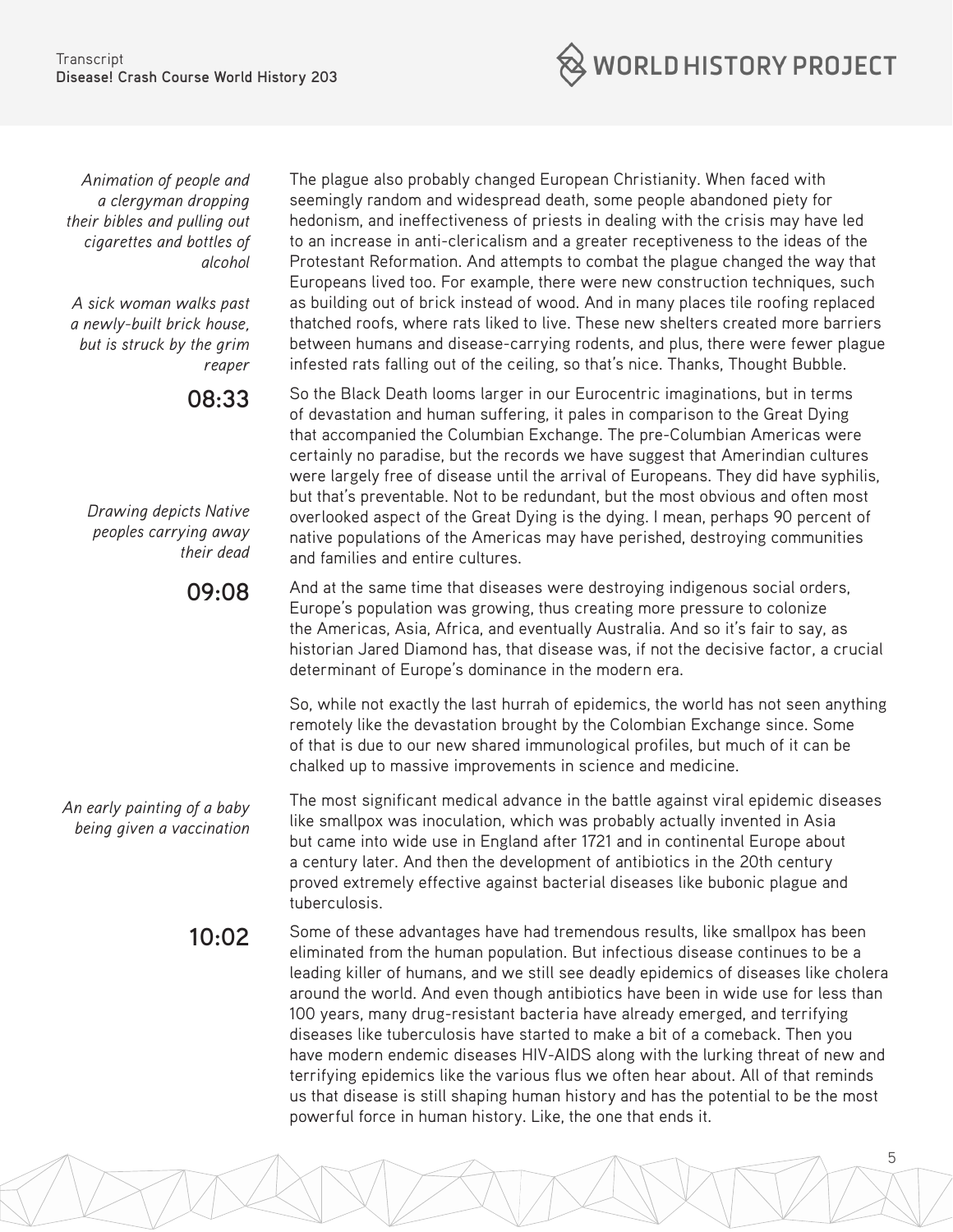

*Animation of people and a clergyman dropping their bibles and pulling out cigarettes and bottles of alcohol*

*A sick woman walks past a newly-built brick house, but is struck by the grim reaper*

#### **08:33**

*Drawing depicts Native peoples carrying away their dead*

#### **09:08**

*An early painting of a baby being given a vaccination*

The plague also probably changed European Christianity. When faced with seemingly random and widespread death, some people abandoned piety for hedonism, and ineffectiveness of priests in dealing with the crisis may have led to an increase in anti-clericalism and a greater receptiveness to the ideas of the Protestant Reformation. And attempts to combat the plague changed the way that Europeans lived too. For example, there were new construction techniques, such as building out of brick instead of wood. And in many places tile roofing replaced thatched roofs, where rats liked to live. These new shelters created more barriers between humans and disease-carrying rodents, and plus, there were fewer plague infested rats falling out of the ceiling, so that's nice. Thanks, Thought Bubble.

So the Black Death looms larger in our Eurocentric imaginations, but in terms of devastation and human suffering, it pales in comparison to the Great Dying that accompanied the Columbian Exchange. The pre-Columbian Americas were certainly no paradise, but the records we have suggest that Amerindian cultures were largely free of disease until the arrival of Europeans. They did have syphilis, but that's preventable. Not to be redundant, but the most obvious and often most overlooked aspect of the Great Dying is the dying. I mean, perhaps 90 percent of native populations of the Americas may have perished, destroying communities and families and entire cultures.

And at the same time that diseases were destroying indigenous social orders, Europe's population was growing, thus creating more pressure to colonize the Americas, Asia, Africa, and eventually Australia. And so it's fair to say, as historian Jared Diamond has, that disease was, if not the decisive factor, a crucial determinant of Europe's dominance in the modern era.

So, while not exactly the last hurrah of epidemics, the world has not seen anything remotely like the devastation brought by the Colombian Exchange since. Some of that is due to our new shared immunological profiles, but much of it can be chalked up to massive improvements in science and medicine.

The most significant medical advance in the battle against viral epidemic diseases like smallpox was inoculation, which was probably actually invented in Asia but came into wide use in England after 1721 and in continental Europe about a century later. And then the development of antibiotics in the 20th century proved extremely effective against bacterial diseases like bubonic plague and tuberculosis.

**10:02** Some of these advantages have had tremendous results, like smallpox has been eliminated from the human population. But infectious disease continues to be a leading killer of humans, and we still see deadly epidemics of diseases like cholera around the world. And even though antibiotics have been in wide use for less than 100 years, many drug-resistant bacteria have already emerged, and terrifying diseases like tuberculosis have started to make a bit of a comeback. Then you have modern endemic diseases HIV-AIDS along with the lurking threat of new and terrifying epidemics like the various flus we often hear about. All of that reminds us that disease is still shaping human history and has the potential to be the most powerful force in human history. Like, the one that ends it.

5